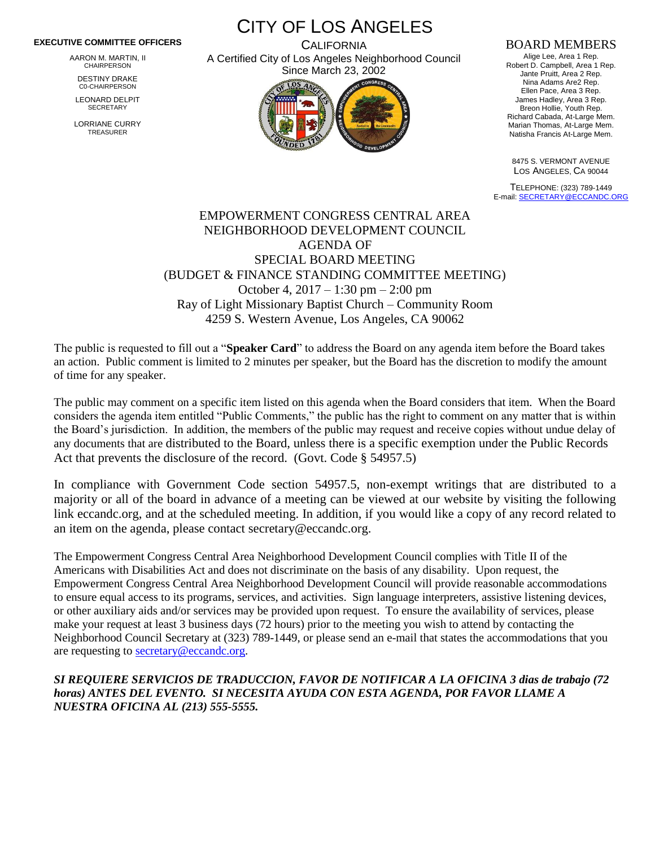#### **EXECUTIVE COMMITTEE OFFICERS**

AARON M. MARTIN, II CHAIRPERSON

DESTINY DRAKE C0-CHAIRPERSON

LEONARD DELPIT **SECRETARY** 

LORRIANE CURRY TREASURER

CITY OF LOS ANGELES **CALIFORNIA** 

A Certified City of Los Angeles Neighborhood Council Since March 23, 2002

### BOARD MEMBERS

Alige Lee, Area 1 Rep. Robert D. Campbell, Area 1 Rep. Jante Pruitt, Area 2 Rep. Nina Adams Are2 Rep. Ellen Pace, Area 3 Rep. James Hadley, Area 3 Rep. Breon Hollie, Youth Rep. Richard Cabada, At-Large Mem. Marian Thomas, At-Large Mem. Natisha Francis At-Large Mem.

8475 S. VERMONT AVENUE LOS ANGELES, CA 90044

TELEPHONE: (323) 789-1449 E-mail[: SECRETARY@ECCANDC.ORG](mailto:SECRETARY@ECCANDC.ORG)

# EMPOWERMENT CONGRESS CENTRAL AREA NEIGHBORHOOD DEVELOPMENT COUNCIL AGENDA OF SPECIAL BOARD MEETING (BUDGET & FINANCE STANDING COMMITTEE MEETING) October 4, 2017 – 1:30 pm – 2:00 pm Ray of Light Missionary Baptist Church – Community Room 4259 S. Western Avenue, Los Angeles, CA 90062

The public is requested to fill out a "**Speaker Card**" to address the Board on any agenda item before the Board takes an action. Public comment is limited to 2 minutes per speaker, but the Board has the discretion to modify the amount of time for any speaker.

The public may comment on a specific item listed on this agenda when the Board considers that item. When the Board considers the agenda item entitled "Public Comments," the public has the right to comment on any matter that is within the Board's jurisdiction. In addition, the members of the public may request and receive copies without undue delay of any documents that are distributed to the Board, unless there is a specific exemption under the Public Records Act that prevents the disclosure of the record. (Govt. Code § 54957.5)

In compliance with Government Code section 54957.5, non-exempt writings that are distributed to a majority or all of the board in advance of a meeting can be viewed at our website by visiting the following link eccandc.org, and at the scheduled meeting. In addition, if you would like a copy of any record related to an item on the agenda, please contact secretary@eccandc.org.

The Empowerment Congress Central Area Neighborhood Development Council complies with Title II of the Americans with Disabilities Act and does not discriminate on the basis of any disability. Upon request, the Empowerment Congress Central Area Neighborhood Development Council will provide reasonable accommodations to ensure equal access to its programs, services, and activities. Sign language interpreters, assistive listening devices, or other auxiliary aids and/or services may be provided upon request. To ensure the availability of services, please make your request at least 3 business days (72 hours) prior to the meeting you wish to attend by contacting the Neighborhood Council Secretary at (323) 789-1449, or please send an e-mail that states the accommodations that you are requesting to [secretary@eccandc.org.](mailto:secretary@eccandc.org)

## *SI REQUIERE SERVICIOS DE TRADUCCION, FAVOR DE NOTIFICAR A LA OFICINA 3 dias de trabajo (72 horas) ANTES DEL EVENTO. SI NECESITA AYUDA CON ESTA AGENDA, POR FAVOR LLAME A NUESTRA OFICINA AL (213) 555-5555.*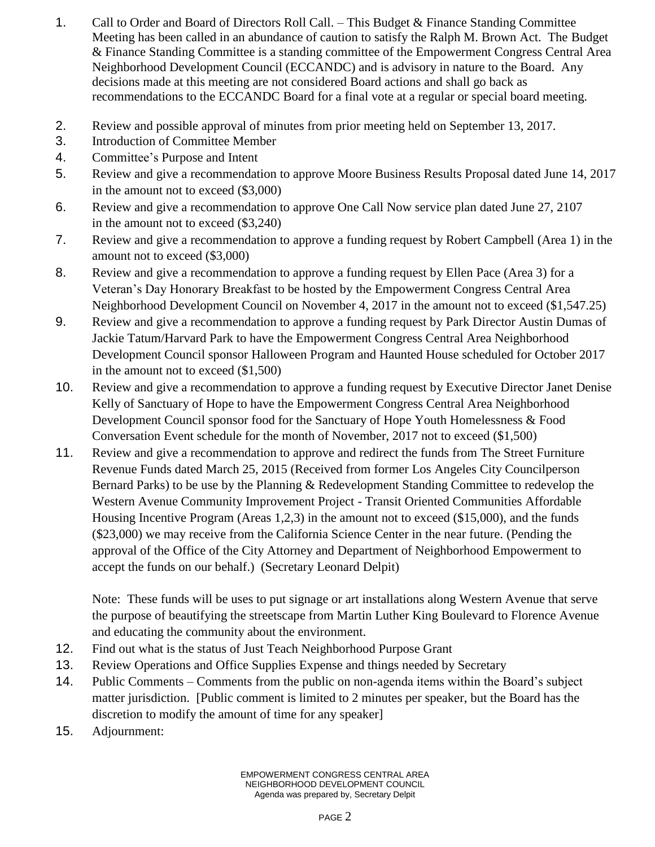- 1. Call to Order and Board of Directors Roll Call. This Budget & Finance Standing Committee Meeting has been called in an abundance of caution to satisfy the Ralph M. Brown Act. The Budget & Finance Standing Committee is a standing committee of the Empowerment Congress Central Area Neighborhood Development Council (ECCANDC) and is advisory in nature to the Board. Any decisions made at this meeting are not considered Board actions and shall go back as recommendations to the ECCANDC Board for a final vote at a regular or special board meeting.
- 2. Review and possible approval of minutes from prior meeting held on September 13, 2017.
- 3. Introduction of Committee Member
- 4. Committee's Purpose and Intent
- 5. Review and give a recommendation to approve Moore Business Results Proposal dated June 14, 2017 in the amount not to exceed (\$3,000)
- 6. Review and give a recommendation to approve One Call Now service plan dated June 27, 2107 in the amount not to exceed (\$3,240)
- 7. Review and give a recommendation to approve a funding request by Robert Campbell (Area 1) in the amount not to exceed (\$3,000)
- 8. Review and give a recommendation to approve a funding request by Ellen Pace (Area 3) for a Veteran's Day Honorary Breakfast to be hosted by the Empowerment Congress Central Area Neighborhood Development Council on November 4, 2017 in the amount not to exceed (\$1,547.25)
- 9. Review and give a recommendation to approve a funding request by Park Director Austin Dumas of Jackie Tatum/Harvard Park to have the Empowerment Congress Central Area Neighborhood Development Council sponsor Halloween Program and Haunted House scheduled for October 2017 in the amount not to exceed (\$1,500)
- 10. Review and give a recommendation to approve a funding request by Executive Director Janet Denise Kelly of Sanctuary of Hope to have the Empowerment Congress Central Area Neighborhood Development Council sponsor food for the Sanctuary of Hope Youth Homelessness & Food Conversation Event schedule for the month of November, 2017 not to exceed (\$1,500)
- 11. Review and give a recommendation to approve and redirect the funds from The Street Furniture Revenue Funds dated March 25, 2015 (Received from former Los Angeles City Councilperson Bernard Parks) to be use by the Planning & Redevelopment Standing Committee to redevelop the Western Avenue Community Improvement Project - Transit Oriented Communities Affordable Housing Incentive Program (Areas 1,2,3) in the amount not to exceed (\$15,000), and the funds (\$23,000) we may receive from the California Science Center in the near future. (Pending the approval of the Office of the City Attorney and Department of Neighborhood Empowerment to accept the funds on our behalf.) (Secretary Leonard Delpit)

Note: These funds will be uses to put signage or art installations along Western Avenue that serve the purpose of beautifying the streetscape from Martin Luther King Boulevard to Florence Avenue and educating the community about the environment.

- 12. Find out what is the status of Just Teach Neighborhood Purpose Grant
- 13. Review Operations and Office Supplies Expense and things needed by Secretary
- 14. Public Comments Comments from the public on non-agenda items within the Board's subject matter jurisdiction. [Public comment is limited to 2 minutes per speaker, but the Board has the discretion to modify the amount of time for any speaker]
- 15. Adjournment: